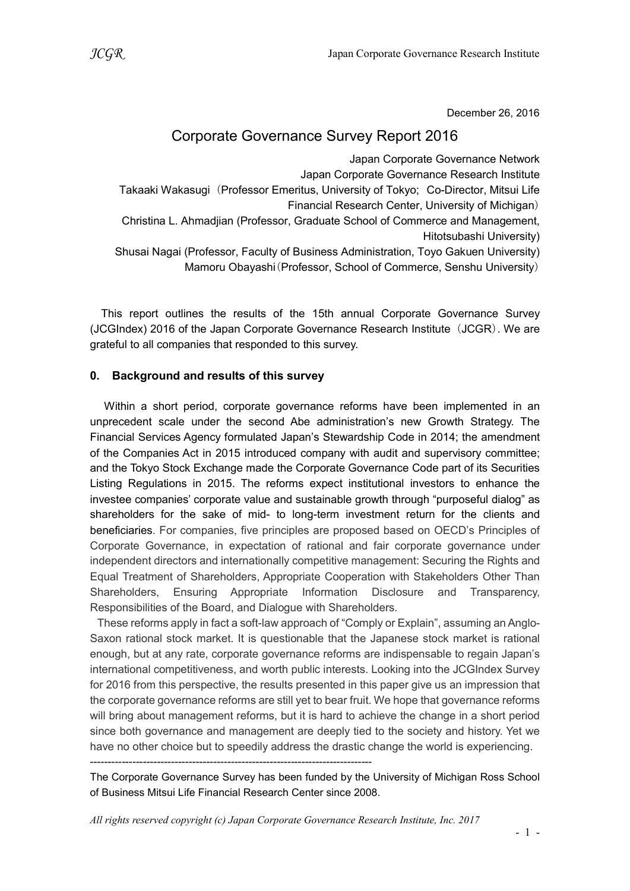December 26, 2016

# Corporate Governance Survey Report 2016

Japan Corporate Governance Network Japan Corporate Governance Research Institute Takaaki Wakasugi (Professor Emeritus, University of Tokyo; Co-Director, Mitsui Life Financial Research Center, University of Michigan) Christina L. Ahmadjian (Professor, Graduate School of Commerce and Management, Hitotsubashi University) Shusai Nagai (Professor, Faculty of Business Administration, Toyo Gakuen University) Mamoru Obayashi(Professor, School of Commerce, Senshu University)

This report outlines the results of the 15th annual Corporate Governance Survey (JCGIndex) 2016 of the Japan Corporate Governance Research Institute (JCGR). We are grateful to all companies that responded to this survey.

### 0. Background and results of this survey

Within a short period, corporate governance reforms have been implemented in an unprecedent scale under the second Abe administration's new Growth Strategy. The Financial Services Agency formulated Japan's Stewardship Code in 2014; the amendment of the Companies Act in 2015 introduced company with audit and supervisory committee; and the Tokyo Stock Exchange made the Corporate Governance Code part of its Securities Listing Regulations in 2015. The reforms expect institutional investors to enhance the investee companies' corporate value and sustainable growth through "purposeful dialog" as shareholders for the sake of mid- to long-term investment return for the clients and beneficiaries. For companies, five principles are proposed based on OECD's Principles of Corporate Governance, in expectation of rational and fair corporate governance under independent directors and internationally competitive management: Securing the Rights and Equal Treatment of Shareholders, Appropriate Cooperation with Stakeholders Other Than Shareholders, Ensuring Appropriate Information Disclosure and Transparency, Responsibilities of the Board, and Dialogue with Shareholders.

These reforms apply in fact a soft-law approach of "Comply or Explain", assuming an Anglo-Saxon rational stock market. It is questionable that the Japanese stock market is rational enough, but at any rate, corporate governance reforms are indispensable to regain Japan's international competitiveness, and worth public interests. Looking into the JCGIndex Survey for 2016 from this perspective, the results presented in this paper give us an impression that the corporate governance reforms are still yet to bear fruit. We hope that governance reforms will bring about management reforms, but it is hard to achieve the change in a short period since both governance and management are deeply tied to the society and history. Yet we have no other choice but to speedily address the drastic change the world is experiencing.

--------------------------------------------------------------------------------

The Corporate Governance Survey has been funded by the University of Michigan Ross School of Business Mitsui Life Financial Research Center since 2008.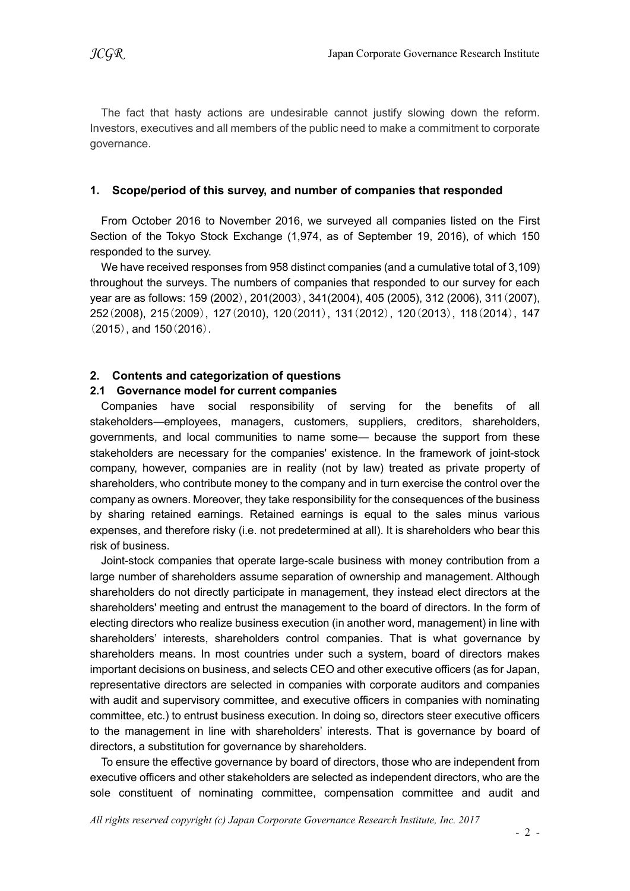The fact that hasty actions are undesirable cannot justify slowing down the reform. Investors, executives and all members of the public need to make a commitment to corporate governance.

#### 1. Scope/period of this survey, and number of companies that responded

From October 2016 to November 2016, we surveyed all companies listed on the First Section of the Tokyo Stock Exchange (1,974, as of September 19, 2016), of which 150 responded to the survey.

We have received responses from 958 distinct companies (and a cumulative total of 3,109) throughout the surveys. The numbers of companies that responded to our survey for each year are as follows: 159 (2002), 201(2003), 341(2004), 405 (2005), 312 (2006), 311(2007), 252(2008), 215(2009), 127(2010), 120(2011), 131(2012), 120(2013), 118(2014), 147 (2015), and 150(2016).

### 2. Contents and categorization of questions

#### 2.1 Governance model for current companies

Companies have social responsibility of serving for the benefits of all stakeholders―employees, managers, customers, suppliers, creditors, shareholders, governments, and local communities to name some― because the support from these stakeholders are necessary for the companies' existence. In the framework of joint-stock company, however, companies are in reality (not by law) treated as private property of shareholders, who contribute money to the company and in turn exercise the control over the company as owners. Moreover, they take responsibility for the consequences of the business by sharing retained earnings. Retained earnings is equal to the sales minus various expenses, and therefore risky (i.e. not predetermined at all). It is shareholders who bear this risk of business.

Joint-stock companies that operate large-scale business with money contribution from a large number of shareholders assume separation of ownership and management. Although shareholders do not directly participate in management, they instead elect directors at the shareholders' meeting and entrust the management to the board of directors. In the form of electing directors who realize business execution (in another word, management) in line with shareholders' interests, shareholders control companies. That is what governance by shareholders means. In most countries under such a system, board of directors makes important decisions on business, and selects CEO and other executive officers (as for Japan, representative directors are selected in companies with corporate auditors and companies with audit and supervisory committee, and executive officers in companies with nominating committee, etc.) to entrust business execution. In doing so, directors steer executive officers to the management in line with shareholders' interests. That is governance by board of directors, a substitution for governance by shareholders.

To ensure the effective governance by board of directors, those who are independent from executive officers and other stakeholders are selected as independent directors, who are the sole constituent of nominating committee, compensation committee and audit and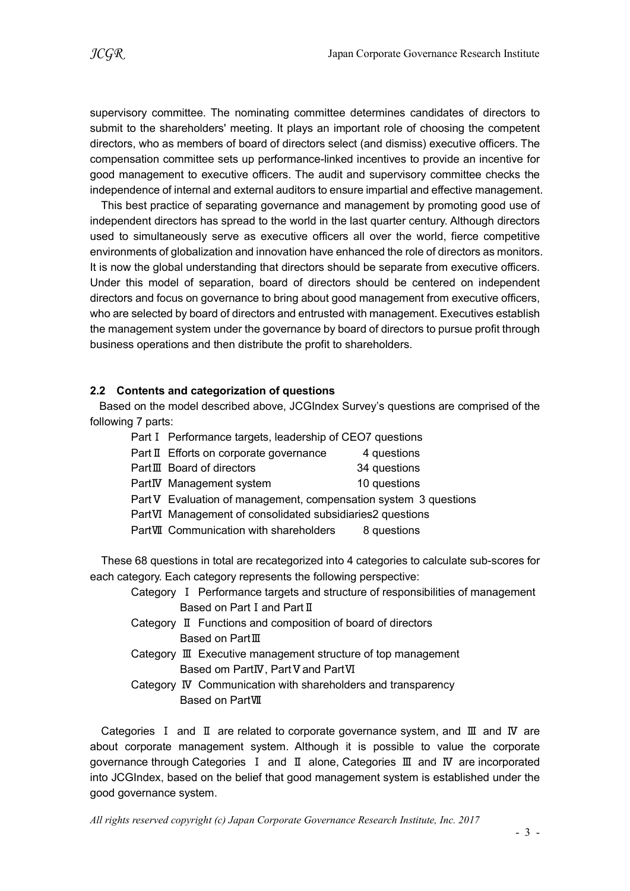supervisory committee. The nominating committee determines candidates of directors to submit to the shareholders' meeting. It plays an important role of choosing the competent directors, who as members of board of directors select (and dismiss) executive officers. The compensation committee sets up performance-linked incentives to provide an incentive for good management to executive officers. The audit and supervisory committee checks the independence of internal and external auditors to ensure impartial and effective management.

This best practice of separating governance and management by promoting good use of independent directors has spread to the world in the last quarter century. Although directors used to simultaneously serve as executive officers all over the world, fierce competitive environments of globalization and innovation have enhanced the role of directors as monitors. It is now the global understanding that directors should be separate from executive officers. Under this model of separation, board of directors should be centered on independent directors and focus on governance to bring about good management from executive officers, who are selected by board of directors and entrusted with management. Executives establish the management system under the governance by board of directors to pursue profit through business operations and then distribute the profit to shareholders.

#### 2.2 Contents and categorization of questions

Based on the model described above, JCGIndex Survey's questions are comprised of the following 7 parts:

- Part I Performance targets, leadership of CEO7 questions
- Part Ⅱ Efforts on corporate governance 4 questions
- PartⅢ Board of directors 34 questions
- PartIV Management system 10 questions
- Part V Evaluation of management, compensation system 3 questions
- PartⅥ Management of consolidated subsidiaries2 questions
- PartⅦ Communication with shareholders 8 questions

These 68 questions in total are recategorized into 4 categories to calculate sub-scores for each category. Each category represents the following perspective:

- Category Ⅰ Performance targets and structure of responsibilities of management Based on Part I and Part II
- Category Ⅱ Functions and composition of board of directors Based on PartⅢ
- Category Ⅲ Executive management structure of top management Based om PartⅣ, PartⅤand PartⅥ
- Category Ⅳ Communication with shareholders and transparency Based on PartⅦ

Categories Ⅰ and Ⅱ are related to corporate governance system, and Ⅲ and Ⅳ are about corporate management system. Although it is possible to value the corporate governance through Categories Ⅰ and Ⅱ alone, Categories Ⅲ and Ⅳ are incorporated into JCGIndex, based on the belief that good management system is established under the good governance system.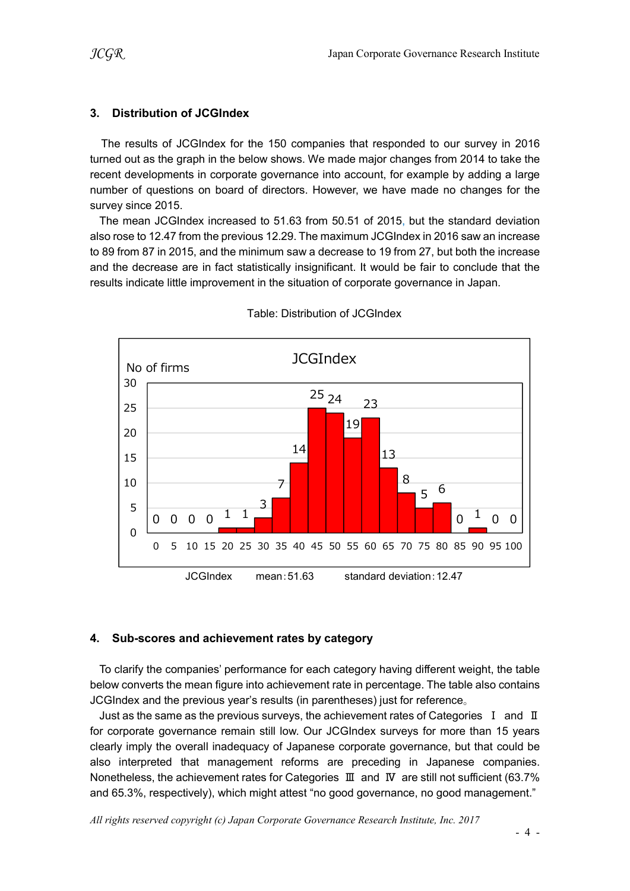## 3. Distribution of JCGIndex

The results of JCGIndex for the 150 companies that responded to our survey in 2016 turned out as the graph in the below shows. We made major changes from 2014 to take the recent developments in corporate governance into account, for example by adding a large number of questions on board of directors. However, we have made no changes for the survey since 2015.

The mean JCGIndex increased to 51.63 from 50.51 of 2015, but the standard deviation also rose to 12.47 from the previous 12.29. The maximum JCGIndex in 2016 saw an increase to 89 from 87 in 2015, and the minimum saw a decrease to 19 from 27, but both the increase and the decrease are in fact statistically insignificant. It would be fair to conclude that the results indicate little improvement in the situation of corporate governance in Japan.



Table: Distribution of JCGIndex

# 4. Sub-scores and achievement rates by category

To clarify the companies' performance for each category having different weight, the table below converts the mean figure into achievement rate in percentage. The table also contains JCGIndex and the previous year's results (in parentheses) just for reference。

Just as the same as the previous surveys, the achievement rates of Categories  $I$  and  $II$ for corporate governance remain still low. Our JCGIndex surveys for more than 15 years clearly imply the overall inadequacy of Japanese corporate governance, but that could be also interpreted that management reforms are preceding in Japanese companies. Nonetheless, the achievement rates for Categories Ⅲ and Ⅳ are still not sufficient (63.7% and 65.3%, respectively), which might attest "no good governance, no good management."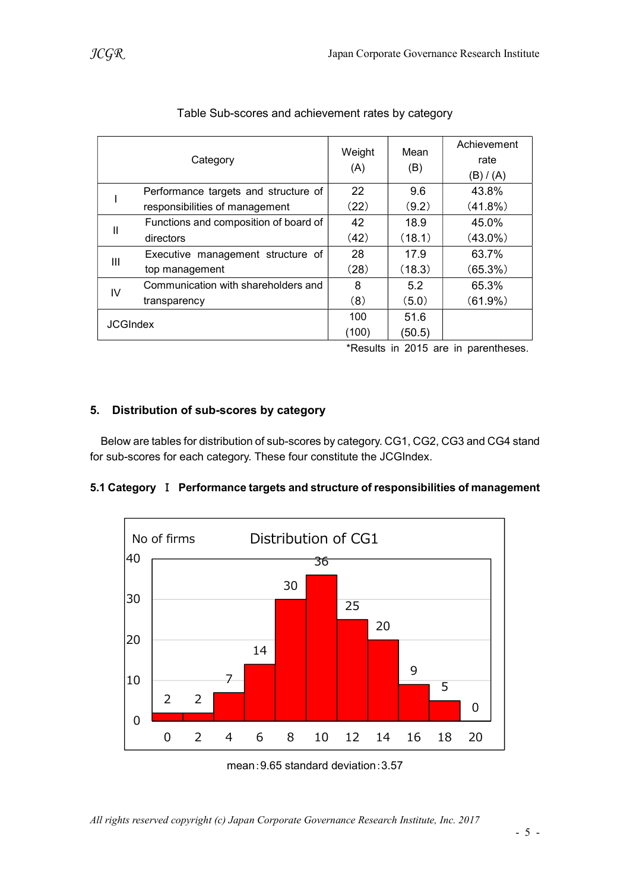|                 | Category                              | Weight<br>(A) | Mean<br>(B) | Achievement<br>rate<br>(B) / (A) |
|-----------------|---------------------------------------|---------------|-------------|----------------------------------|
|                 | Performance targets and structure of  | 22            | 9.6         | 43.8%                            |
|                 | responsibilities of management        | (22)          | (9.2)       | $(41.8\%)$                       |
| Ш               | Functions and composition of board of | 42            | 18.9        | 45.0%                            |
|                 | directors                             | (42)          | (18.1)      | $(43.0\%)$                       |
| Ш               | Executive management structure of     | 28            | 17.9        | 63.7%                            |
|                 | top management                        | (28)          | (18.3)      | $(65.3\%)$                       |
| IV              | Communication with shareholders and   | 8             | 5.2         | 65.3%                            |
|                 | transparency                          | (8)           | (5.0)       | $(61.9\%)$                       |
| <b>JCGIndex</b> |                                       | 100           | 51.6        |                                  |
|                 |                                       | (100)         | (50.5)      |                                  |

## Table Sub-scores and achievement rates by category

\*Results in 2015 are in parentheses.

### 5. Distribution of sub-scores by category

Below are tables for distribution of sub-scores by category. CG1, CG2, CG3 and CG4 stand for sub-scores for each category. These four constitute the JCGIndex.

#### 5.1 Category Ⅰ Performance targets and structure of responsibilities of management



mean:9.65 standard deviation:3.57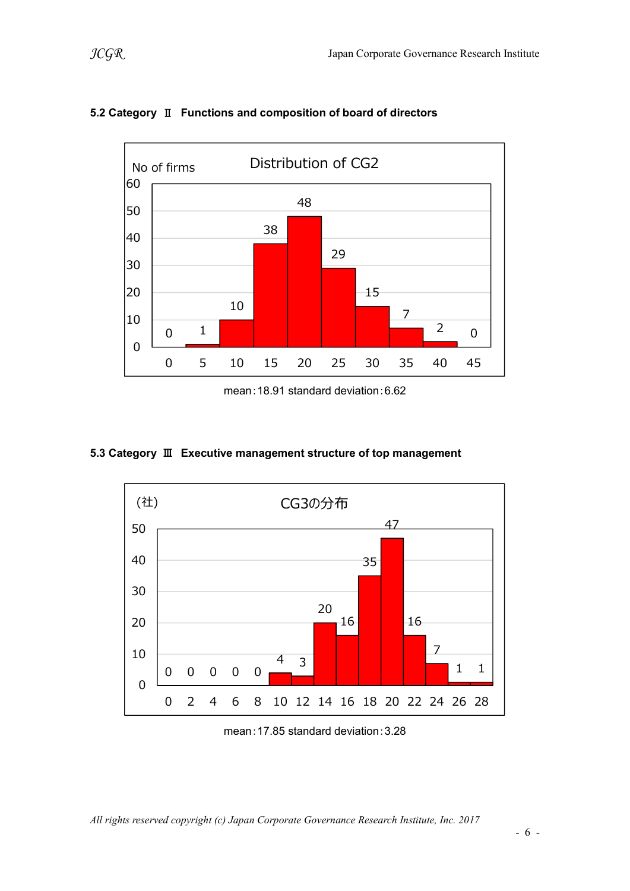

# 5.2 Category Ⅱ Functions and composition of board of directors

mean:18.91 standard deviation:6.62

### 5.3 Category Ⅲ Executive management structure of top management



mean:17.85 standard deviation:3.28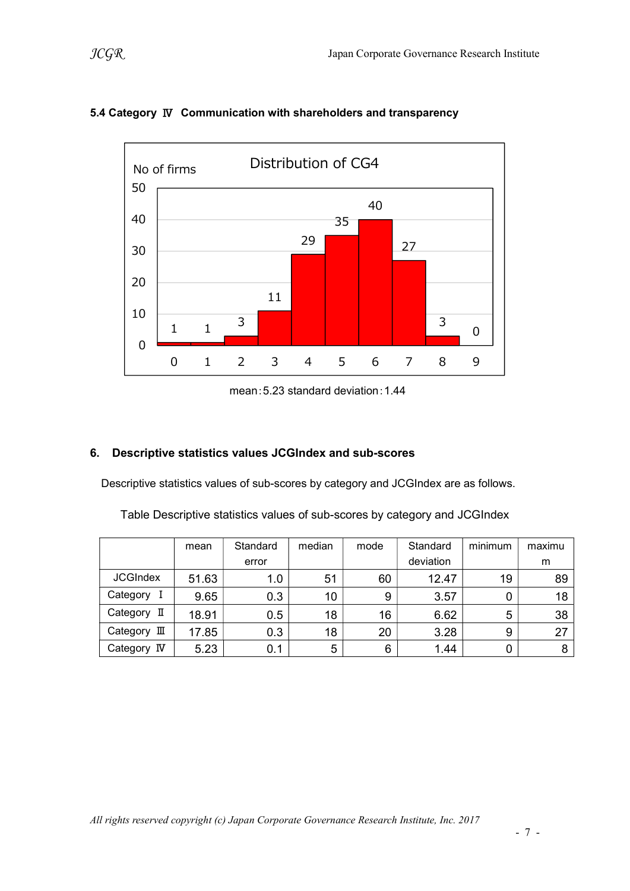

## 5.4 Category Ⅳ Communication with shareholders and transparency

mean:5.23 standard deviation:1.44

### 6. Descriptive statistics values JCGIndex and sub-scores

Descriptive statistics values of sub-scores by category and JCGIndex are as follows.

Table Descriptive statistics values of sub-scores by category and JCGIndex

|                 | mean  | Standard | median | mode | Standard  | minimum | maximu |
|-----------------|-------|----------|--------|------|-----------|---------|--------|
|                 |       | error    |        |      | deviation |         | m      |
| <b>JCGIndex</b> | 51.63 | 1.0      | 51     | 60   | 12.47     | 19      | 89     |
| Category        | 9.65  | 0.3      | 10     | 9    | 3.57      | 0       | 18     |
| Category II     | 18.91 | 0.5      | 18     | 16   | 6.62      | 5       | 38     |
| Category III    | 17.85 | 0.3      | 18     | 20   | 3.28      | 9       | 27     |
| Category<br>IV  | 5.23  | 0.1      | 5      | 6    | 1.44      |         | 8      |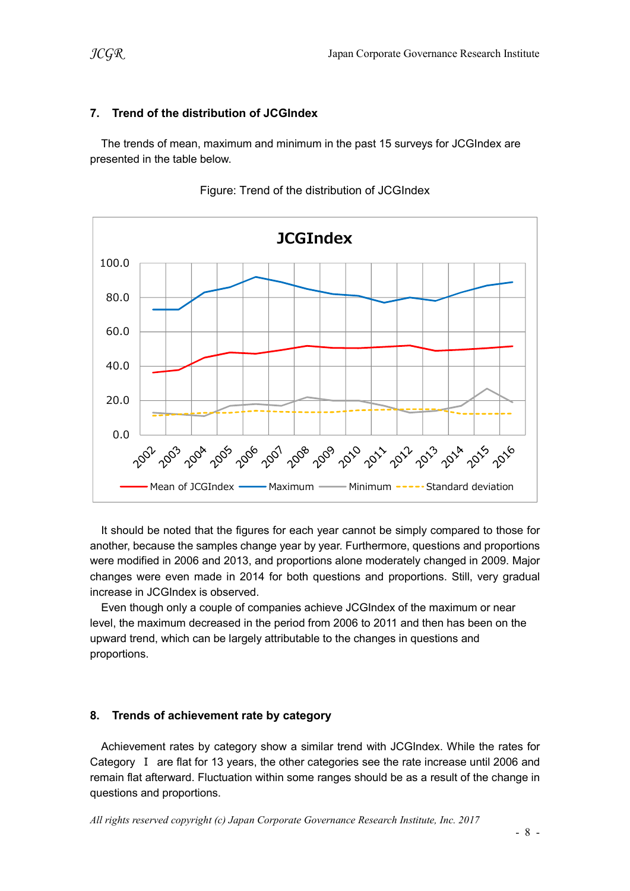# 7. Trend of the distribution of JCGIndex

The trends of mean, maximum and minimum in the past 15 surveys for JCGIndex are presented in the table below.



Figure: Trend of the distribution of JCGIndex

It should be noted that the figures for each year cannot be simply compared to those for another, because the samples change year by year. Furthermore, questions and proportions were modified in 2006 and 2013, and proportions alone moderately changed in 2009. Major changes were even made in 2014 for both questions and proportions. Still, very gradual increase in JCGIndex is observed.

Even though only a couple of companies achieve JCGIndex of the maximum or near level, the maximum decreased in the period from 2006 to 2011 and then has been on the upward trend, which can be largely attributable to the changes in questions and proportions.

# 8. Trends of achievement rate by category

Achievement rates by category show a similar trend with JCGIndex. While the rates for Category Ⅰ are flat for 13 years, the other categories see the rate increase until 2006 and remain flat afterward. Fluctuation within some ranges should be as a result of the change in questions and proportions.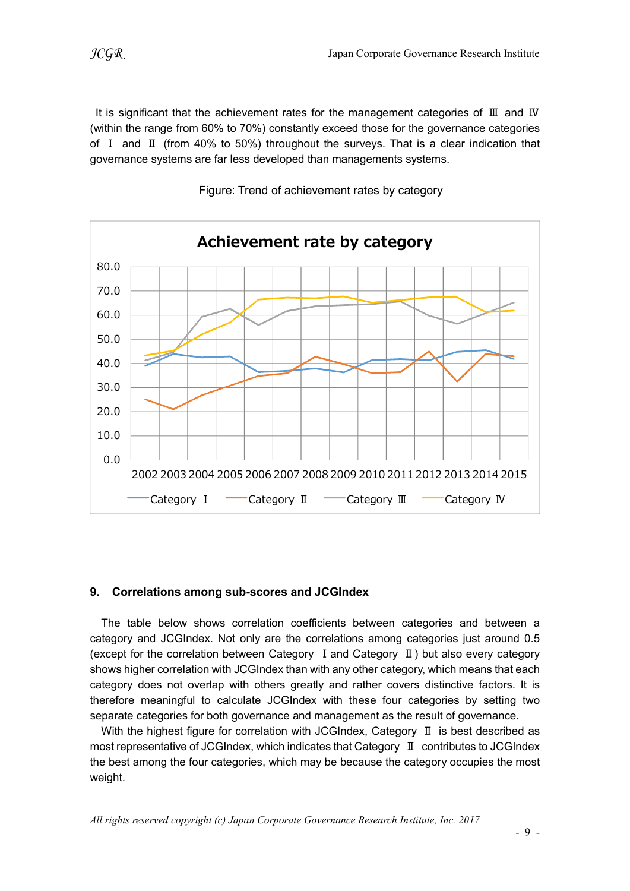It is significant that the achievement rates for the management categories of Ⅲ and Ⅳ (within the range from 60% to 70%) constantly exceed those for the governance categories of I and  $\text{I}$  (from 40% to 50%) throughout the surveys. That is a clear indication that governance systems are far less developed than managements systems.



Figure: Trend of achievement rates by category

### 9. Correlations among sub-scores and JCGIndex

The table below shows correlation coefficients between categories and between a category and JCGIndex. Not only are the correlations among categories just around 0.5 (except for the correlation between Category Ⅰand Category Ⅱ) but also every category shows higher correlation with JCGIndex than with any other category, which means that each category does not overlap with others greatly and rather covers distinctive factors. It is therefore meaningful to calculate JCGIndex with these four categories by setting two separate categories for both governance and management as the result of governance.

With the highest figure for correlation with JCGIndex, Category Ⅱ is best described as most representative of JCGIndex, which indicates that Category Ⅱ contributes to JCGIndex the best among the four categories, which may be because the category occupies the most weight.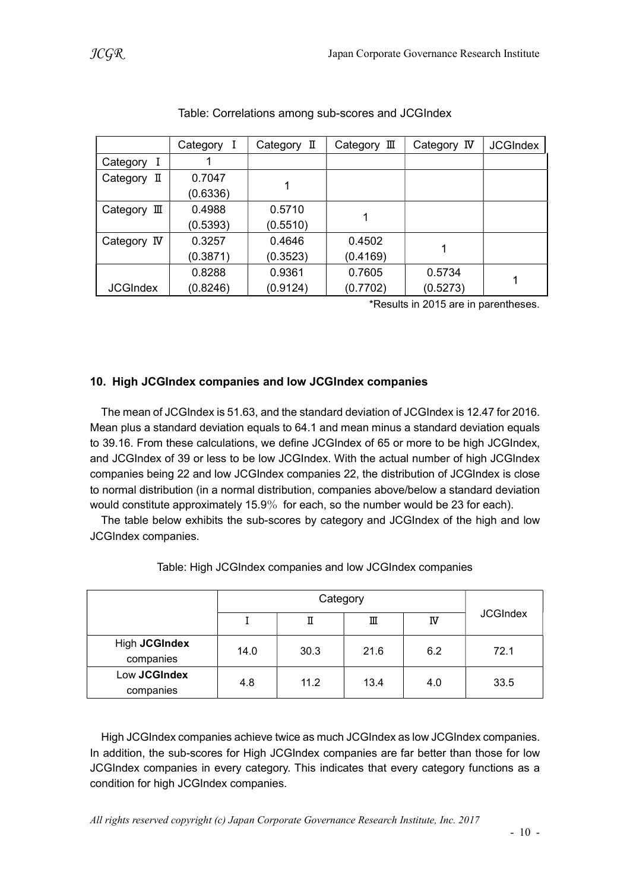|                      | Category I | Category II | Category $\mathbb I$ | Category IV | <b>JCGIndex</b> |
|----------------------|------------|-------------|----------------------|-------------|-----------------|
| Category<br>I        |            |             |                      |             |                 |
| Category II          | 0.7047     |             |                      |             |                 |
|                      | (0.6336)   |             |                      |             |                 |
| Category $\mathbb I$ | 0.4988     | 0.5710      |                      |             |                 |
|                      | (0.5393)   | (0.5510)    |                      |             |                 |
| Category IV          | 0.3257     | 0.4646      | 0.4502               |             |                 |
|                      | (0.3871)   | (0.3523)    | (0.4169)             |             |                 |
|                      | 0.8288     | 0.9361      | 0.7605               | 0.5734      |                 |
| <b>JCGIndex</b>      | (0.8246)   | (0.9124)    | (0.7702)             | (0.5273)    |                 |

Table: Correlations among sub-scores and JCGIndex

\*Results in 2015 are in parentheses.

### 10. High JCGIndex companies and low JCGIndex companies

The mean of JCGIndex is 51.63, and the standard deviation of JCGIndex is 12.47 for 2016. Mean plus a standard deviation equals to 64.1 and mean minus a standard deviation equals to 39.16. From these calculations, we define JCGIndex of 65 or more to be high JCGIndex, and JCGIndex of 39 or less to be low JCGIndex. With the actual number of high JCGIndex companies being 22 and low JCGIndex companies 22, the distribution of JCGIndex is close to normal distribution (in a normal distribution, companies above/below a standard deviation would constitute approximately 15.9% for each, so the number would be 23 for each).

The table below exhibits the sub-scores by category and JCGIndex of the high and low JCGIndex companies.

|                            | Category |      |      |     |                 |
|----------------------------|----------|------|------|-----|-----------------|
|                            |          | П    | Ш    | IV  | <b>JCGIndex</b> |
| High JCGIndex<br>companies | 14.0     | 30.3 | 21.6 | 6.2 | 72.1            |
| Low JCGIndex<br>companies  | 4.8      | 11.2 | 13.4 | 4.0 | 33.5            |

Table: High JCGIndex companies and low JCGIndex companies

High JCGIndex companies achieve twice as much JCGIndex as low JCGIndex companies. In addition, the sub-scores for High JCGIndex companies are far better than those for low JCGIndex companies in every category. This indicates that every category functions as a condition for high JCGIndex companies.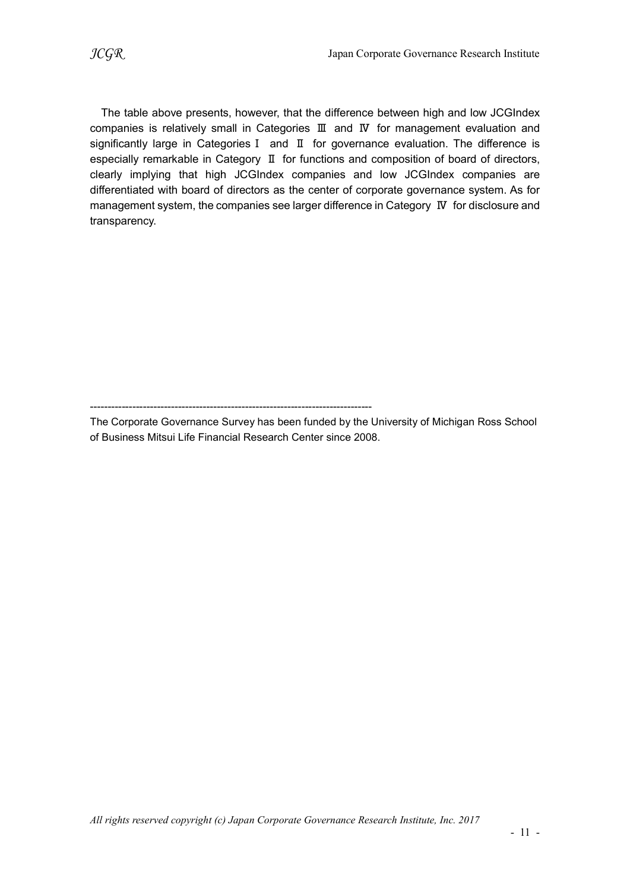The table above presents, however, that the difference between high and low JCGIndex companies is relatively small in Categories Ⅲ and Ⅳ for management evaluation and significantly large in CategoriesⅠ and Ⅱ for governance evaluation. The difference is especially remarkable in Category Ⅱ for functions and composition of board of directors, clearly implying that high JCGIndex companies and low JCGIndex companies are differentiated with board of directors as the center of corporate governance system. As for management system, the companies see larger difference in Category Ⅳ for disclosure and transparency.

The Corporate Governance Survey has been funded by the University of Michigan Ross School of Business Mitsui Life Financial Research Center since 2008.

<sup>--------------------------------------------------------------------------------</sup>